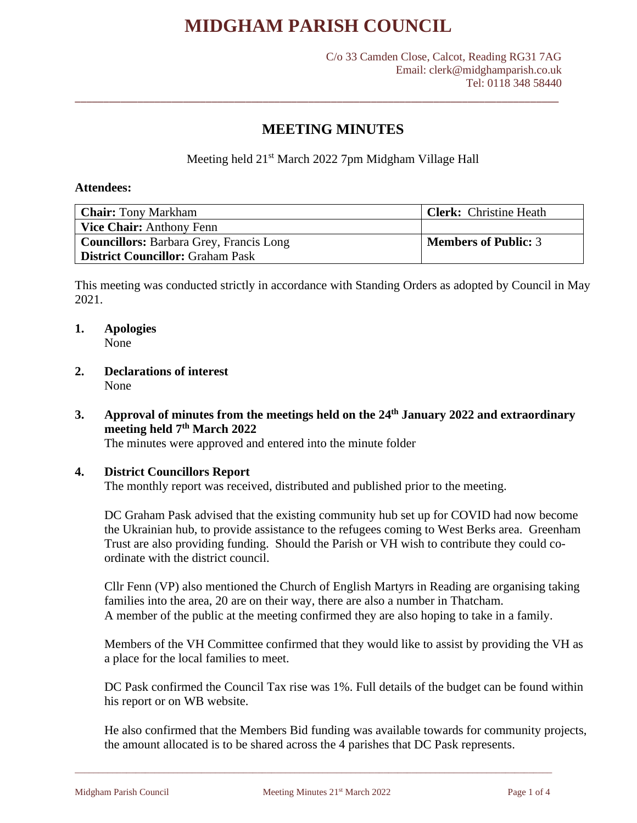\_\_\_\_\_\_\_\_\_\_\_\_\_\_\_\_\_\_\_\_\_\_\_\_\_\_\_\_\_\_\_\_\_\_\_\_\_\_\_\_\_\_\_\_\_\_\_\_\_\_\_\_\_\_\_\_\_\_\_\_\_\_\_\_\_\_\_\_\_\_\_\_\_\_\_\_\_\_\_\_\_\_\_\_\_

## **MEETING MINUTES**

Meeting held 21<sup>st</sup> March 2022 7pm Midgham Village Hall

#### **Attendees:**

| <b>Chair:</b> Tony Markham                     | <b>Clerk:</b> Christine Heath |  |  |
|------------------------------------------------|-------------------------------|--|--|
| <b>Vice Chair:</b> Anthony Fenn                |                               |  |  |
| <b>Councillors:</b> Barbara Grey, Francis Long | <b>Members of Public: 3</b>   |  |  |
| District Councillor: Graham Pask               |                               |  |  |

This meeting was conducted strictly in accordance with Standing Orders as adopted by Council in May 2021.

## **1. Apologies**

None

### **2. Declarations of interest** None

**3. Approval of minutes from the meetings held on the 24 th January 2022 and extraordinary meeting held 7th March 2022**

The minutes were approved and entered into the minute folder

#### **4. District Councillors Report**

The monthly report was received, distributed and published prior to the meeting.

DC Graham Pask advised that the existing community hub set up for COVID had now become the Ukrainian hub, to provide assistance to the refugees coming to West Berks area. Greenham Trust are also providing funding. Should the Parish or VH wish to contribute they could coordinate with the district council.

Cllr Fenn (VP) also mentioned the Church of English Martyrs in Reading are organising taking families into the area, 20 are on their way, there are also a number in Thatcham. A member of the public at the meeting confirmed they are also hoping to take in a family.

Members of the VH Committee confirmed that they would like to assist by providing the VH as a place for the local families to meet.

DC Pask confirmed the Council Tax rise was 1%. Full details of the budget can be found within his report or on WB website.

He also confirmed that the Members Bid funding was available towards for community projects, the amount allocated is to be shared across the 4 parishes that DC Pask represents.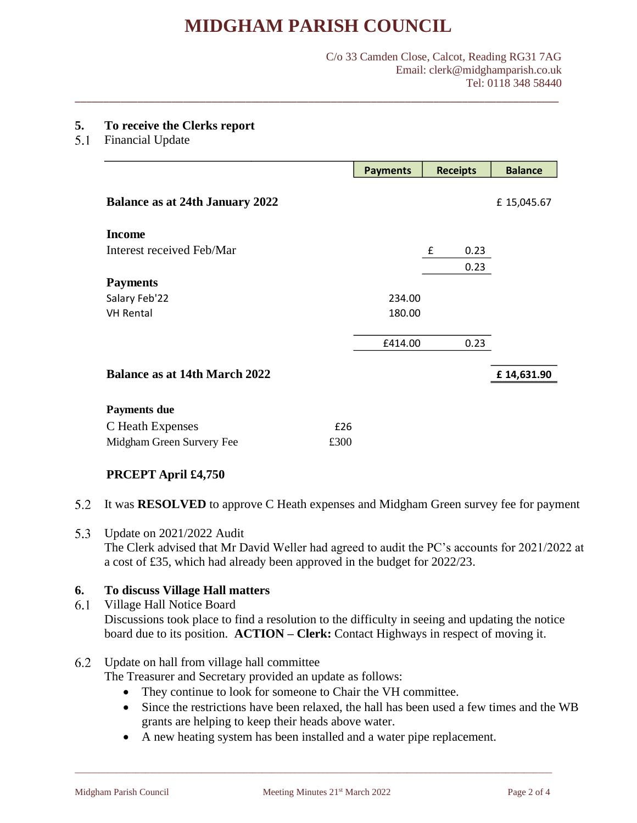\_\_\_\_\_\_\_\_\_\_\_\_\_\_\_\_\_\_\_\_\_\_\_\_\_\_\_\_\_\_\_\_\_\_\_\_\_\_\_\_\_\_\_\_\_\_\_\_\_\_\_\_\_\_\_\_\_\_\_\_\_\_\_\_\_\_\_\_\_\_\_\_\_\_\_\_\_\_\_\_\_\_\_\_\_

#### C/o 33 Camden Close, Calcot, Reading RG31 7AG Email: clerk@midghamparish.co.uk Tel: 0118 348 58440

#### **5. To receive the Clerks report**

5.1 Financial Update

|                                        | <b>Payments</b> | <b>Receipts</b> | <b>Balance</b> |
|----------------------------------------|-----------------|-----------------|----------------|
| <b>Balance as at 24th January 2022</b> |                 |                 | £15,045.67     |
| <b>Income</b>                          |                 |                 |                |
| Interest received Feb/Mar              |                 | £<br>0.23       |                |
|                                        |                 | 0.23            |                |
| <b>Payments</b>                        |                 |                 |                |
| Salary Feb'22                          | 234.00          |                 |                |
| <b>VH Rental</b>                       | 180.00          |                 |                |
|                                        | £414.00         | 0.23            |                |
| <b>Balance as at 14th March 2022</b>   |                 |                 | £14,631.90     |
| <b>Payments due</b>                    |                 |                 |                |
| C Heath Expenses<br>£26                |                 |                 |                |
| Midgham Green Survery Fee<br>£300      |                 |                 |                |

## **PRCEPT April £4,750**

- 5.2 It was **RESOLVED** to approve C Heath expenses and Midgham Green survey fee for payment
- 5.3 Update on 2021/2022 Audit

The Clerk advised that Mr David Weller had agreed to audit the PC's accounts for 2021/2022 at a cost of £35, which had already been approved in the budget for 2022/23.

#### **6. To discuss Village Hall matters**

6.1 Village Hall Notice Board Discussions took place to find a resolution to the difficulty in seeing and updating the notice board due to its position. **ACTION – Clerk:** Contact Highways in respect of moving it.

#### Update on hall from village hall committee

The Treasurer and Secretary provided an update as follows:

- They continue to look for someone to Chair the VH committee.
- Since the restrictions have been relaxed, the hall has been used a few times and the WB grants are helping to keep their heads above water.
- A new heating system has been installed and a water pipe replacement.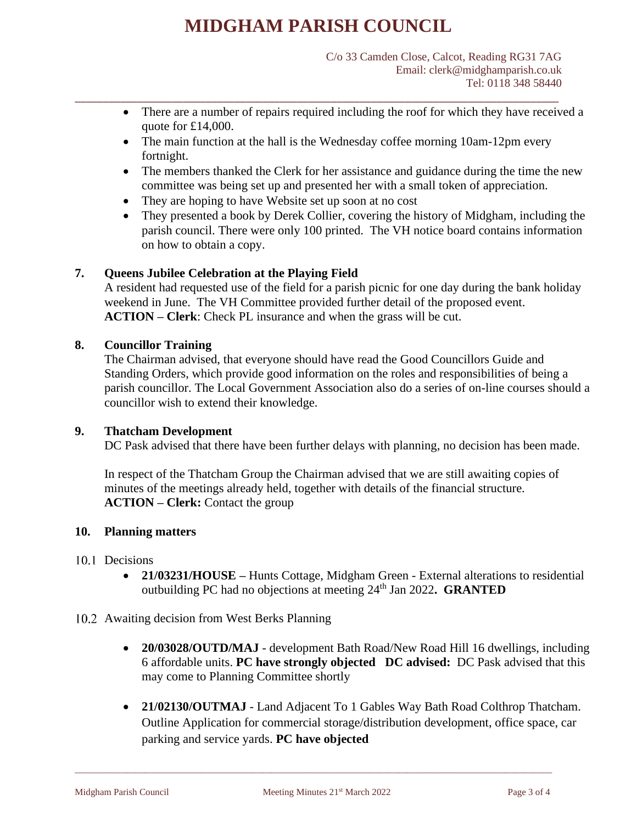\_\_\_\_\_\_\_\_\_\_\_\_\_\_\_\_\_\_\_\_\_\_\_\_\_\_\_\_\_\_\_\_\_\_\_\_\_\_\_\_\_\_\_\_\_\_\_\_\_\_\_\_\_\_\_\_\_\_\_\_\_\_\_\_\_\_\_\_\_\_\_\_\_\_\_\_\_\_\_\_\_\_\_\_\_

- There are a number of repairs required including the roof for which they have received a quote for £14,000.
- The main function at the hall is the Wednesday coffee morning 10am-12pm every fortnight.
- The members thanked the Clerk for her assistance and guidance during the time the new committee was being set up and presented her with a small token of appreciation.
- They are hoping to have Website set up soon at no cost
- They presented a book by Derek Collier, covering the history of Midgham, including the parish council. There were only 100 printed. The VH notice board contains information on how to obtain a copy.

### **7. Queens Jubilee Celebration at the Playing Field**

A resident had requested use of the field for a parish picnic for one day during the bank holiday weekend in June. The VH Committee provided further detail of the proposed event. **ACTION – Clerk**: Check PL insurance and when the grass will be cut.

### **8. Councillor Training**

The Chairman advised, that everyone should have read the Good Councillors Guide and Standing Orders, which provide good information on the roles and responsibilities of being a parish councillor. The Local Government Association also do a series of on-line courses should a councillor wish to extend their knowledge.

### **9. Thatcham Development**

DC Pask advised that there have been further delays with planning, no decision has been made.

In respect of the Thatcham Group the Chairman advised that we are still awaiting copies of minutes of the meetings already held, together with details of the financial structure. **ACTION – Clerk:** Contact the group

#### **10. Planning matters**

- 10.1 Decisions
	- **21/03231/HOUSE –** Hunts Cottage, Midgham Green External alterations to residential outbuilding PC had no objections at meeting 24th Jan 2022**. GRANTED**
- 10.2 Awaiting decision from West Berks Planning
	- **20/03028/OUTD/MAJ** development Bath Road/New Road Hill 16 dwellings, including 6 affordable units. **PC have strongly objected DC advised:** DC Pask advised that this may come to Planning Committee shortly
	- **21/02130/OUTMAJ**  Land Adjacent To 1 Gables Way Bath Road Colthrop Thatcham. Outline Application for commercial storage/distribution development, office space, car parking and service yards. **PC have objected**